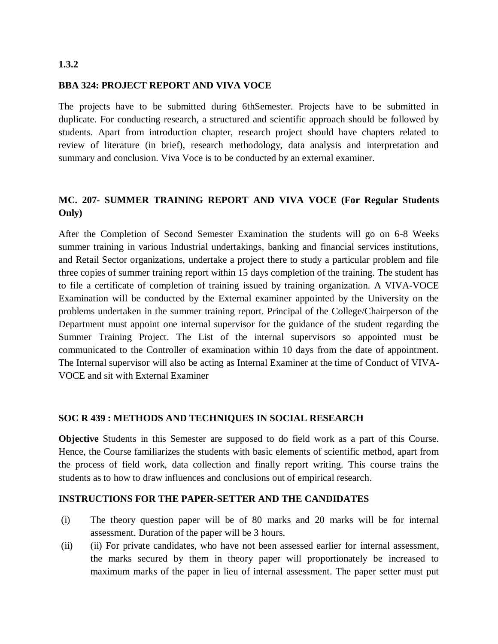### **1.3.2**

### **BBA 324: PROJECT REPORT AND VIVA VOCE**

The projects have to be submitted during 6thSemester. Projects have to be submitted in duplicate. For conducting research, a structured and scientific approach should be followed by students. Apart from introduction chapter, research project should have chapters related to review of literature (in brief), research methodology, data analysis and interpretation and summary and conclusion. Viva Voce is to be conducted by an external examiner.

# **MC. 207- SUMMER TRAINING REPORT AND VIVA VOCE (For Regular Students Only)**

After the Completion of Second Semester Examination the students will go on 6-8 Weeks summer training in various Industrial undertakings, banking and financial services institutions, and Retail Sector organizations, undertake a project there to study a particular problem and file three copies of summer training report within 15 days completion of the training. The student has to file a certificate of completion of training issued by training organization. A VIVA-VOCE Examination will be conducted by the External examiner appointed by the University on the problems undertaken in the summer training report. Principal of the College/Chairperson of the Department must appoint one internal supervisor for the guidance of the student regarding the Summer Training Project. The List of the internal supervisors so appointed must be communicated to the Controller of examination within 10 days from the date of appointment. The Internal supervisor will also be acting as Internal Examiner at the time of Conduct of VIVA-VOCE and sit with External Examiner

# **SOC R 439 : METHODS AND TECHNIQUES IN SOCIAL RESEARCH**

**Objective** Students in this Semester are supposed to do field work as a part of this Course. Hence, the Course familiarizes the students with basic elements of scientific method, apart from the process of field work, data collection and finally report writing. This course trains the students as to how to draw influences and conclusions out of empirical research.

# **INSTRUCTIONS FOR THE PAPER-SETTER AND THE CANDIDATES**

- (i) The theory question paper will be of 80 marks and 20 marks will be for internal assessment. Duration of the paper will be 3 hours.
- (ii) (ii) For private candidates, who have not been assessed earlier for internal assessment, the marks secured by them in theory paper will proportionately be increased to maximum marks of the paper in lieu of internal assessment. The paper setter must put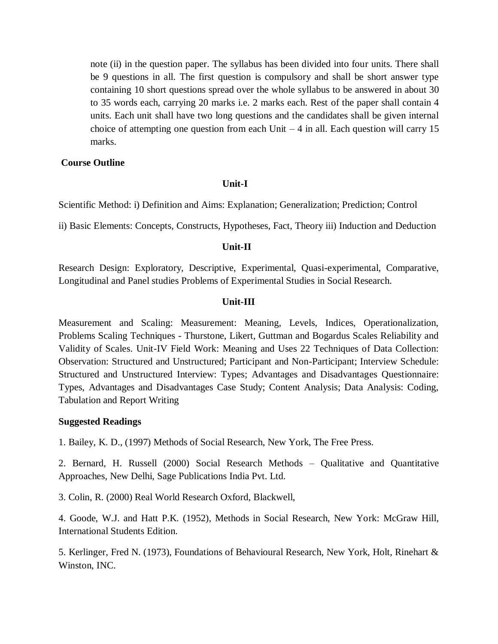note (ii) in the question paper. The syllabus has been divided into four units. There shall be 9 questions in all. The first question is compulsory and shall be short answer type containing 10 short questions spread over the whole syllabus to be answered in about 30 to 35 words each, carrying 20 marks i.e. 2 marks each. Rest of the paper shall contain 4 units. Each unit shall have two long questions and the candidates shall be given internal choice of attempting one question from each Unit  $-4$  in all. Each question will carry 15 marks.

#### **Course Outline**

#### **Unit-I**

Scientific Method: i) Definition and Aims: Explanation; Generalization; Prediction; Control

ii) Basic Elements: Concepts, Constructs, Hypotheses, Fact, Theory iii) Induction and Deduction

#### **Unit-II**

Research Design: Exploratory, Descriptive, Experimental, Quasi-experimental, Comparative, Longitudinal and Panel studies Problems of Experimental Studies in Social Research.

# **Unit-III**

Measurement and Scaling: Measurement: Meaning, Levels, Indices, Operationalization, Problems Scaling Techniques - Thurstone, Likert, Guttman and Bogardus Scales Reliability and Validity of Scales. Unit-IV Field Work: Meaning and Uses 22 Techniques of Data Collection: Observation: Structured and Unstructured; Participant and Non-Participant; Interview Schedule: Structured and Unstructured Interview: Types; Advantages and Disadvantages Questionnaire: Types, Advantages and Disadvantages Case Study; Content Analysis; Data Analysis: Coding, Tabulation and Report Writing

#### **Suggested Readings**

1. Bailey, K. D., (1997) Methods of Social Research, New York, The Free Press.

2. Bernard, H. Russell (2000) Social Research Methods – Qualitative and Quantitative Approaches, New Delhi, Sage Publications India Pvt. Ltd.

3. Colin, R. (2000) Real World Research Oxford, Blackwell,

4. Goode, W.J. and Hatt P.K. (1952), Methods in Social Research, New York: McGraw Hill, International Students Edition.

5. Kerlinger, Fred N. (1973), Foundations of Behavioural Research, New York, Holt, Rinehart & Winston, INC.